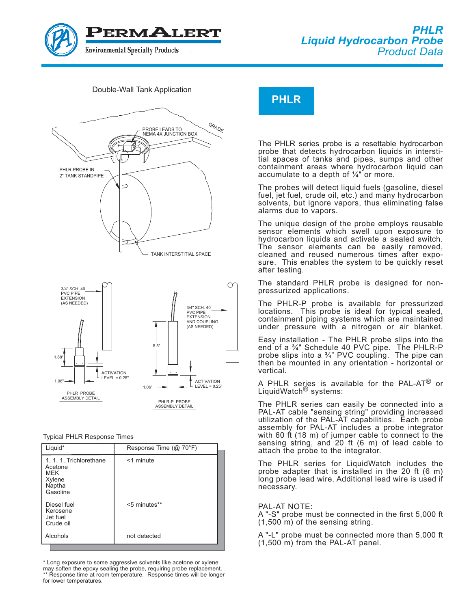





Typical PHLR Response Times

| Liquid*                                                                          | Response Time (@ 70°F) |
|----------------------------------------------------------------------------------|------------------------|
| 1, 1, 1, Trichlorethane<br>Acetone<br><b>MFK</b><br>Xylene<br>Naptha<br>Gasoline | <1 minute              |
| Diesel fuel<br>Kerosene<br>Jet fuel<br>Crude oil                                 | <5 minutes**           |
| Alcohols                                                                         | not detected           |

\* Long exposure to some aggressive solvents like acetone or xylene may soften the epoxy sealing the probe, requiring probe replacement. \*\* Response time at room temperature. Response times will be longer for lower temperatures.

The PHLR series probe is a resettable hydrocarbon probe that detects hydrocarbon liquids in interstitial spaces of tanks and pipes, sumps and other containment areas where hydrocarbon liquid can accumulate to a depth of  $\frac{1}{4}$ " or more.

The probes will detect liquid fuels (gasoline, diesel fuel, jet fuel, crude oil, etc.) and many hydrocarbon solvents, but ignore vapors, thus eliminating false alarms due to vapors.

The unique design of the probe employs reusable sensor elements which swell upon exposure to hydrocarbon liquids and activate a sealed switch. The sensor elements can be easily removed, cleaned and reused numerous times after exposure. This enables the system to be quickly reset after testing.

The standard PHLR probe is designed for nonpressurized applications.

The PHLR-P probe is available for pressurized locations. This probe is ideal for typical sealed, containment piping systems which are maintained under pressure with a nitrogen or air blanket.

Easy installation - The PHLR probe slips into the end of a 3/4" Schedule 40 PVC pipe. The PHLR-P probe slips into a  $\frac{3}{4}$ " PVC coupling. The pipe can then be mounted in any orientation - horizontal or vertical.

A PHLR series is available for the PAL-AT<sup>®</sup> or LiquidWatch<sup>®</sup> systems:

The PHLR series can easily be connected into a PAL-AT cable "sensing string" providing increased utilization of the PAL-AT capabilities. Each probe assembly for PAL-AT includes a probe integrator with 60 ft (18 m) of jumper cable to connect to the sensing string, and 20 ft (6 m) of lead cable to attach the probe to the integrator.

The PHLR series for LiquidWatch includes the probe adapter that is installed in the 20 ft (6 m) long probe lead wire. Additional lead wire is used if necessary.

## PAL-AT NOTE:

A "-S" probe must be connected in the first 5,000 ft (1,500 m) of the sensing string.

A "-L" probe must be connected more than 5,000 ft (1,500 m) from the PAL-AT panel.